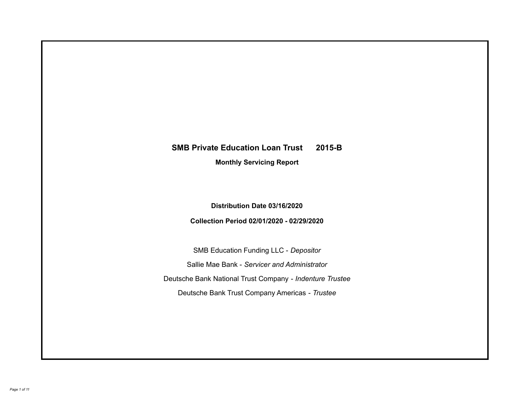# **SMB Private Education Loan Trust 2015-B Monthly Servicing Report**

# **Distribution Date 03/16/2020**

# **Collection Period 02/01/2020 - 02/29/2020**

SMB Education Funding LLC - *Depositor* Sallie Mae Bank - *Servicer and Administrator* Deutsche Bank National Trust Company - *Indenture Trustee* Deutsche Bank Trust Company Americas - *Trustee*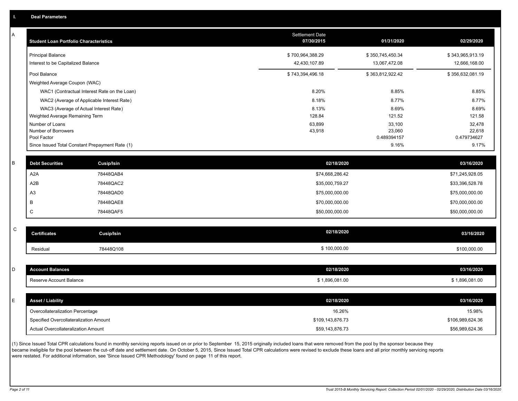| А | <b>Student Loan Portfolio Characteristics</b> |                                                 | Settlement Date<br>07/30/2015 | 01/31/2020            | 02/29/2020            |
|---|-----------------------------------------------|-------------------------------------------------|-------------------------------|-----------------------|-----------------------|
|   | <b>Principal Balance</b>                      |                                                 | \$700,964,388.29              | \$350,745,450.34      | \$343,965,913.19      |
|   | Interest to be Capitalized Balance            |                                                 | 42,430,107.89                 | 13,067,472.08         | 12,666,168.00         |
|   | Pool Balance                                  |                                                 | \$743,394,496.18              | \$363,812,922.42      | \$356,632,081.19      |
|   | Weighted Average Coupon (WAC)                 |                                                 |                               |                       |                       |
|   |                                               | WAC1 (Contractual Interest Rate on the Loan)    | 8.20%                         | 8.85%                 | 8.85%                 |
|   |                                               | WAC2 (Average of Applicable Interest Rate)      | 8.18%                         | 8.77%                 | 8.77%                 |
|   |                                               | WAC3 (Average of Actual Interest Rate)          | 8.13%                         | 8.69%                 | 8.69%                 |
|   | Weighted Average Remaining Term               |                                                 | 128.84                        | 121.52                | 121.58                |
|   | Number of Loans                               |                                                 | 63,899                        | 33,100                | 32,478                |
|   | Number of Borrowers<br>Pool Factor            |                                                 | 43,918                        | 23,060<br>0.489394157 | 22,618<br>0.479734627 |
|   |                                               | Since Issued Total Constant Prepayment Rate (1) |                               | 9.16%                 | 9.17%                 |
|   |                                               |                                                 |                               |                       |                       |
| B | <b>Debt Securities</b>                        | <b>Cusip/Isin</b>                               | 02/18/2020                    |                       | 03/16/2020            |
|   | A <sub>2</sub> A                              | 78448QAB4                                       | \$74,668,286.42               |                       | \$71,245,928.05       |
|   | A2B                                           | 78448QAC2                                       | \$35,000,759.27               |                       | \$33,396,528.78       |
|   | A <sub>3</sub>                                | 78448QAD0                                       | \$75,000,000.00               |                       | \$75,000,000.00       |
|   | B                                             | 78448QAE8                                       | \$70,000,000.00               |                       | \$70,000,000.00       |
|   | $\mathsf C$                                   | 78448QAF5                                       | \$50,000,000.00               |                       | \$50,000,000.00       |
|   |                                               |                                                 |                               |                       |                       |
| C | <b>Certificates</b>                           | <b>Cusip/Isin</b>                               | 02/18/2020                    |                       | 03/16/2020            |
|   | Residual                                      | 78448Q108                                       | \$100,000.00                  |                       | \$100,000.00          |
|   |                                               |                                                 |                               |                       |                       |
| D | <b>Account Balances</b>                       |                                                 | 02/18/2020                    |                       | 03/16/2020            |
|   | Reserve Account Balance                       |                                                 | \$1,896,081.00                |                       | \$1,896,081.00        |
|   |                                               |                                                 |                               |                       |                       |
| E | <b>Asset / Liability</b>                      |                                                 | 02/18/2020                    |                       | 03/16/2020            |
|   | Overcollateralization Percentage              |                                                 | 16.26%                        |                       | 15.98%                |
|   | Specified Overcollateralization Amount        |                                                 | \$109,143,876.73              |                       | \$106,989,624.36      |
|   | Actual Overcollateralization Amount           |                                                 | \$59,143,876.73               |                       | \$56,989,624.36       |

(1) Since Issued Total CPR calculations found in monthly servicing reports issued on or prior to September 15, 2015 originally included loans that were removed from the pool by the sponsor because they .<br>became ineligible for the pool between the cut-off date and settlement date. On October 5, 2015, Since Issued Total CPR calculations were revised to exclude these loans and all prior monthly servicing reports were restated. For additional information, see 'Since Issued CPR Methodology' found on page 11 of this report.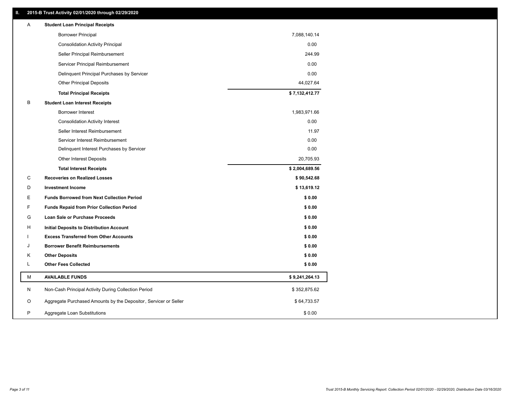## **II. 2015-B Trust Activity 02/01/2020 through 02/29/2020**

| <b>Borrower Principal</b><br>7,088,140.14                                            |  |
|--------------------------------------------------------------------------------------|--|
| <b>Consolidation Activity Principal</b><br>0.00                                      |  |
| Seller Principal Reimbursement<br>244.99                                             |  |
| 0.00<br>Servicer Principal Reimbursement                                             |  |
| 0.00<br>Delinquent Principal Purchases by Servicer                                   |  |
| <b>Other Principal Deposits</b><br>44,027.64                                         |  |
| \$7,132,412.77<br><b>Total Principal Receipts</b>                                    |  |
| B<br><b>Student Loan Interest Receipts</b>                                           |  |
| <b>Borrower Interest</b><br>1,983,971.66                                             |  |
| 0.00<br><b>Consolidation Activity Interest</b>                                       |  |
| Seller Interest Reimbursement<br>11.97                                               |  |
| Servicer Interest Reimbursement<br>0.00                                              |  |
| 0.00<br>Delinquent Interest Purchases by Servicer                                    |  |
| 20,705.93<br><b>Other Interest Deposits</b>                                          |  |
| \$2,004,689.56<br><b>Total Interest Receipts</b>                                     |  |
| C<br><b>Recoveries on Realized Losses</b><br>\$90,542.68                             |  |
| \$13,619.12<br>D<br><b>Investment Income</b>                                         |  |
| Е<br>\$0.00<br><b>Funds Borrowed from Next Collection Period</b>                     |  |
| F<br><b>Funds Repaid from Prior Collection Period</b><br>\$0.00                      |  |
| G<br>\$0.00<br>Loan Sale or Purchase Proceeds                                        |  |
| \$0.00<br>н<br>Initial Deposits to Distribution Account                              |  |
| \$0.00<br><b>Excess Transferred from Other Accounts</b>                              |  |
| J<br><b>Borrower Benefit Reimbursements</b><br>\$0.00                                |  |
| <b>Other Deposits</b><br>\$0.00<br>Κ                                                 |  |
| L<br><b>Other Fees Collected</b><br>\$0.00                                           |  |
| M<br><b>AVAILABLE FUNDS</b><br>\$9,241,264.13                                        |  |
| N<br>Non-Cash Principal Activity During Collection Period<br>\$352,875.62            |  |
| O<br>Aggregate Purchased Amounts by the Depositor, Servicer or Seller<br>\$64,733.57 |  |
| P<br>Aggregate Loan Substitutions<br>\$0.00                                          |  |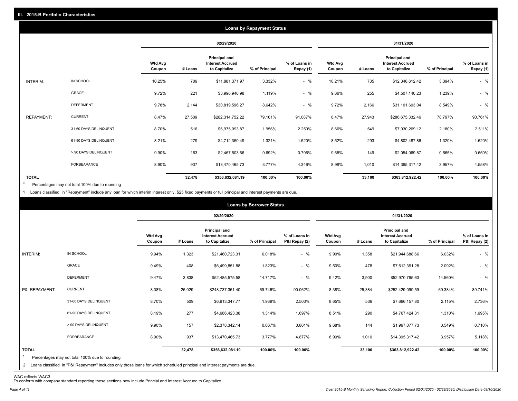|                   |                       |                          |         |                                                           | <b>Loans by Repayment Status</b> |                            |                          |         |                                                           |                |                            |
|-------------------|-----------------------|--------------------------|---------|-----------------------------------------------------------|----------------------------------|----------------------------|--------------------------|---------|-----------------------------------------------------------|----------------|----------------------------|
|                   |                       |                          |         | 02/29/2020                                                |                                  |                            |                          |         | 01/31/2020                                                |                |                            |
|                   |                       | <b>Wtd Avg</b><br>Coupon | # Loans | Principal and<br><b>Interest Accrued</b><br>to Capitalize | % of Principal                   | % of Loans in<br>Repay (1) | <b>Wtd Avg</b><br>Coupon | # Loans | Principal and<br><b>Interest Accrued</b><br>to Capitalize | % of Principal | % of Loans in<br>Repay (1) |
| INTERIM:          | IN SCHOOL             | 10.25%                   | 709     | \$11,881,371.97                                           | 3.332%                           | $-$ %                      | 10.21%                   | 735     | \$12,346,612.42                                           | 3.394%         | $-$ %                      |
|                   | GRACE                 | 9.72%                    | 221     | \$3,990,946.98                                            | 1.119%                           | $-$ %                      | 9.66%                    | 255     | \$4,507,140.23                                            | 1.239%         | $-$ %                      |
|                   | <b>DEFERMENT</b>      | 9.78%                    | 2,144   | \$30,819,596.27                                           | 8.642%                           | $-$ %                      | 9.72%                    | 2,166   | \$31,101,693.04                                           | 8.549%         | $-$ %                      |
| <b>REPAYMENT:</b> | <b>CURRENT</b>        | 8.47%                    | 27,509  | \$282,314,752.22                                          | 79.161%                          | 91.087%                    | 8.47%                    | 27,943  | \$286,675,332.46                                          | 78.797%        | 90.761%                    |
|                   | 31-60 DAYS DELINQUENT | 8.70%                    | 516     | \$6,975,093.87                                            | 1.956%                           | 2.250%                     | 8.66%                    | 549     | \$7,930,269.12                                            | 2.180%         | 2.511%                     |
|                   | 61-90 DAYS DELINQUENT | 8.21%                    | 279     | \$4,712,350.49                                            | 1.321%                           | 1.520%                     | 8.52%                    | 293     | \$4,802,487.86                                            | 1.320%         | 1.520%                     |
|                   | > 90 DAYS DELINQUENT  | 9.90%                    | 163     | \$2,467,503.66                                            | 0.692%                           | 0.796%                     | 9.68%                    | 149     | \$2,054,069.87                                            | 0.565%         | 0.650%                     |
|                   | <b>FORBEARANCE</b>    | 8.90%                    | 937     | \$13,470,465.73                                           | 3.777%                           | 4.346%                     | 8.99%                    | 1,010   | \$14,395,317.42                                           | 3.957%         | 4.558%                     |
| <b>TOTAL</b>      |                       |                          | 32,478  | \$356,632,081.19                                          | 100.00%                          | 100.00%                    |                          | 33,100  | \$363,812,922.42                                          | 100.00%        | 100.00%                    |

Percentages may not total 100% due to rounding  $\star$ 

1 Loans classified in "Repayment" include any loan for which interim interest only, \$25 fixed payments or full principal and interest payments are due.

|                         |                                                                                                                                                                                |                          |         |                                                                  | <b>Loans by Borrower Status</b> |                                |                          |         |                                                           |                |                                |
|-------------------------|--------------------------------------------------------------------------------------------------------------------------------------------------------------------------------|--------------------------|---------|------------------------------------------------------------------|---------------------------------|--------------------------------|--------------------------|---------|-----------------------------------------------------------|----------------|--------------------------------|
|                         |                                                                                                                                                                                |                          |         | 02/29/2020                                                       |                                 |                                |                          |         | 01/31/2020                                                |                |                                |
|                         |                                                                                                                                                                                | <b>Wtd Avg</b><br>Coupon | # Loans | <b>Principal and</b><br><b>Interest Accrued</b><br>to Capitalize | % of Principal                  | % of Loans in<br>P&I Repay (2) | <b>Wtd Avg</b><br>Coupon | # Loans | Principal and<br><b>Interest Accrued</b><br>to Capitalize | % of Principal | % of Loans in<br>P&I Repay (2) |
| INTERIM:                | IN SCHOOL                                                                                                                                                                      | 9.94%                    | 1,323   | \$21,460,723.31                                                  | 6.018%                          | $-$ %                          | 9.90%                    | 1,358   | \$21,944,688.66                                           | 6.032%         | $-$ %                          |
|                         | GRACE                                                                                                                                                                          | 9.49%                    | 408     | \$6,499,851.88                                                   | 1.823%                          | $-$ %                          | 9.50%                    | 478     | \$7,612,391.28                                            | 2.092%         | $-$ %                          |
|                         | <b>DEFERMENT</b>                                                                                                                                                               | 9.47%                    | 3,838   | \$52,485,575.58                                                  | 14.717%                         | $-$ %                          | 9.42%                    | 3,900   | \$52,970,765.63                                           | 14.560%        | $-$ %                          |
| P&I REPAYMENT:          | <b>CURRENT</b>                                                                                                                                                                 | 8.38%                    | 25,029  | \$248,737,351.40                                                 | 69.746%                         | 90.062%                        | 8.38%                    | 25,384  | \$252,429,099.59                                          | 69.384%        | 89.741%                        |
|                         | 31-60 DAYS DELINQUENT                                                                                                                                                          | 8.70%                    | 509     | \$6,913,347.77                                                   | 1.939%                          | 2.503%                         | 8.65%                    | 536     | \$7,696,157.80                                            | 2.115%         | 2.736%                         |
|                         | 61-90 DAYS DELINQUENT                                                                                                                                                          | 8.19%                    | 277     | \$4,686,423.38                                                   | 1.314%                          | 1.697%                         | 8.51%                    | 290     | \$4,767,424.31                                            | 1.310%         | 1.695%                         |
|                         | > 90 DAYS DELINQUENT                                                                                                                                                           | 9.90%                    | 157     | \$2,378,342.14                                                   | 0.667%                          | 0.861%                         | 9.68%                    | 144     | \$1,997,077.73                                            | 0.549%         | 0.710%                         |
|                         | FORBEARANCE                                                                                                                                                                    | 8.90%                    | 937     | \$13,470,465.73                                                  | 3.777%                          | 4.877%                         | 8.99%                    | 1,010   | \$14,395,317.42                                           | 3.957%         | 5.118%                         |
| <b>TOTAL</b><br>$\star$ | Percentages may not total 100% due to rounding<br>2 Loans classified in "P&I Repayment" includes only those loans for which scheduled principal and interest payments are due. |                          | 32,478  | \$356,632,081.19                                                 | 100.00%                         | 100.00%                        |                          | 33,100  | \$363,812,922.42                                          | 100.00%        | 100.00%                        |

WAC reflects WAC3 To conform with company standard reporting these sections now include Princial and Interest Accrued to Capitalize .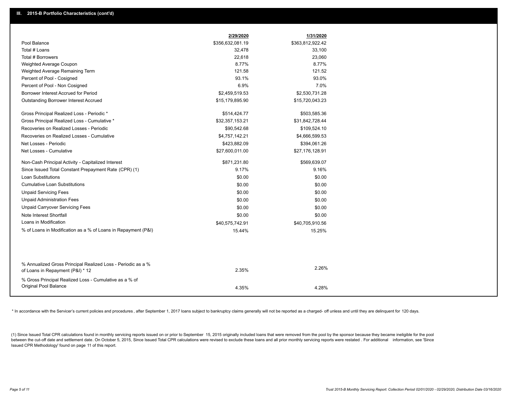|                                                                                                  | 2/29/2020        | 1/31/2020        |
|--------------------------------------------------------------------------------------------------|------------------|------------------|
| Pool Balance                                                                                     | \$356,632,081.19 | \$363,812,922.42 |
| Total # Loans                                                                                    | 32,478           | 33,100           |
| Total # Borrowers                                                                                | 22,618           | 23,060           |
| Weighted Average Coupon                                                                          | 8.77%            | 8.77%            |
| Weighted Average Remaining Term                                                                  | 121.58           | 121.52           |
| Percent of Pool - Cosigned                                                                       | 93.1%            | 93.0%            |
| Percent of Pool - Non Cosigned                                                                   | 6.9%             | 7.0%             |
| Borrower Interest Accrued for Period                                                             | \$2,459,519.53   | \$2,530,731.28   |
| Outstanding Borrower Interest Accrued                                                            | \$15,179,895.90  | \$15,720,043.23  |
| Gross Principal Realized Loss - Periodic *                                                       | \$514,424.77     | \$503,585.36     |
| Gross Principal Realized Loss - Cumulative *                                                     | \$32,357,153.21  | \$31,842,728.44  |
| Recoveries on Realized Losses - Periodic                                                         | \$90,542.68      | \$109,524.10     |
| Recoveries on Realized Losses - Cumulative                                                       | \$4,757,142.21   | \$4,666,599.53   |
| Net Losses - Periodic                                                                            | \$423,882.09     | \$394,061.26     |
| Net Losses - Cumulative                                                                          | \$27,600,011.00  | \$27,176,128.91  |
| Non-Cash Principal Activity - Capitalized Interest                                               | \$871,231.80     | \$569,639.07     |
| Since Issued Total Constant Prepayment Rate (CPR) (1)                                            | 9.17%            | 9.16%            |
| Loan Substitutions                                                                               | \$0.00           | \$0.00           |
| <b>Cumulative Loan Substitutions</b>                                                             | \$0.00           | \$0.00           |
| <b>Unpaid Servicing Fees</b>                                                                     | \$0.00           | \$0.00           |
| <b>Unpaid Administration Fees</b>                                                                | \$0.00           | \$0.00           |
| <b>Unpaid Carryover Servicing Fees</b>                                                           | \$0.00           | \$0.00           |
| Note Interest Shortfall                                                                          | \$0.00           | \$0.00           |
| Loans in Modification                                                                            | \$40,575,742.91  | \$40,705,910.56  |
| % of Loans in Modification as a % of Loans in Repayment (P&I)                                    | 15.44%           | 15.25%           |
|                                                                                                  |                  |                  |
| % Annualized Gross Principal Realized Loss - Periodic as a %<br>of Loans in Repayment (P&I) * 12 | 2.35%            | 2.26%            |
| % Gross Principal Realized Loss - Cumulative as a % of                                           |                  |                  |
| Original Pool Balance                                                                            | 4.35%            | 4.28%            |

\* In accordance with the Servicer's current policies and procedures, after September 1, 2017 loans subject to bankruptcy claims generally will not be reported as a charged- off unless and until they are delinquent for 120

(1) Since Issued Total CPR calculations found in monthly servicing reports issued on or prior to September 15, 2015 originally included loans that were removed from the pool by the sponsor because they became ineligible fo between the cut-off date and settlement date. On October 5, 2015, Since Issued Total CPR calculations were revised to exclude these loans and all prior monthly servicing reports were restated. For additional information, s Issued CPR Methodology' found on page 11 of this report.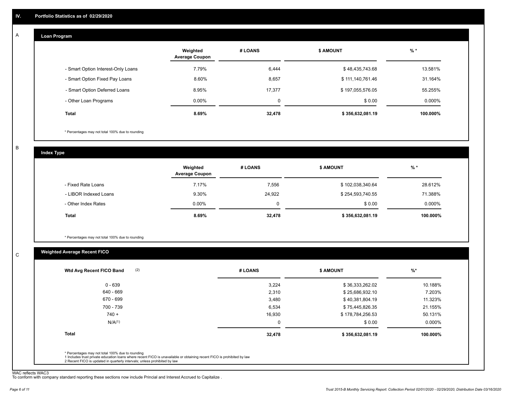#### **Loan Program**  A

|                                    | Weighted<br><b>Average Coupon</b> | # LOANS     | <b>\$ AMOUNT</b> | $%$ *     |
|------------------------------------|-----------------------------------|-------------|------------------|-----------|
| - Smart Option Interest-Only Loans | 7.79%                             | 6,444       | \$48,435,743.68  | 13.581%   |
| - Smart Option Fixed Pay Loans     | 8.60%                             | 8,657       | \$111,140,761.46 | 31.164%   |
| - Smart Option Deferred Loans      | 8.95%                             | 17,377      | \$197,055,576.05 | 55.255%   |
| - Other Loan Programs              | $0.00\%$                          | $\mathbf 0$ | \$0.00           | $0.000\%$ |
| <b>Total</b>                       | 8.69%                             | 32,478      | \$356,632,081.19 | 100.000%  |

\* Percentages may not total 100% due to rounding

B

C

**Index Type**

|                       | Weighted<br><b>Average Coupon</b> | # LOANS | <b>\$ AMOUNT</b> | % *       |
|-----------------------|-----------------------------------|---------|------------------|-----------|
| - Fixed Rate Loans    | 7.17%                             | 7,556   | \$102,038,340.64 | 28.612%   |
| - LIBOR Indexed Loans | 9.30%                             | 24,922  | \$254,593,740.55 | 71.388%   |
| - Other Index Rates   | $0.00\%$                          |         | \$0.00           | $0.000\%$ |
| Total                 | 8.69%                             | 32,478  | \$356,632,081.19 | 100.000%  |

\* Percentages may not total 100% due to rounding

# **Weighted Average Recent FICO**

|                    | # LOANS  | <b>\$ AMOUNT</b> | $%$ *    |
|--------------------|----------|------------------|----------|
| $0 - 639$          | 3,224    | \$36,333,262.02  | 10.188%  |
| 640 - 669          | 2,310    | \$25,686,932.10  | 7.203%   |
| 670 - 699          | 3,480    | \$40,381,804.19  | 11.323%  |
| 700 - 739          | 6,534    | \$75,445,826.35  | 21.155%  |
| $740 +$            | 16,930   | \$178,784,256.53 | 50.131%  |
| N/A <sup>(1)</sup> | $\Omega$ | \$0.00           | 0.000%   |
| <b>Total</b>       | 32,478   | \$356,632,081.19 | 100.000% |

WAC reflects WAC3 To conform with company standard reporting these sections now include Princial and Interest Accrued to Capitalize .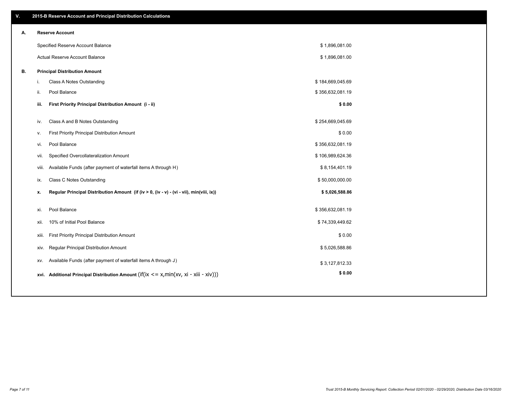| V. | 2015-B Reserve Account and Principal Distribution Calculations                                 |                  |  |
|----|------------------------------------------------------------------------------------------------|------------------|--|
| А. | <b>Reserve Account</b>                                                                         |                  |  |
|    | Specified Reserve Account Balance                                                              | \$1,896,081.00   |  |
|    | Actual Reserve Account Balance                                                                 | \$1,896,081.00   |  |
| В. | <b>Principal Distribution Amount</b>                                                           |                  |  |
|    | Class A Notes Outstanding<br>i.                                                                | \$184,669,045.69 |  |
|    | Pool Balance<br>ji.                                                                            | \$356,632,081.19 |  |
|    | First Priority Principal Distribution Amount (i - ii)<br>iii.                                  | \$0.00           |  |
|    | Class A and B Notes Outstanding<br>iv.                                                         | \$254,669,045.69 |  |
|    | First Priority Principal Distribution Amount<br>v.                                             | \$0.00           |  |
|    | Pool Balance<br>vi.                                                                            | \$356,632,081.19 |  |
|    | Specified Overcollateralization Amount<br>vii.                                                 | \$106,989,624.36 |  |
|    | Available Funds (after payment of waterfall items A through H)<br>viii.                        | \$8,154,401.19   |  |
|    | Class C Notes Outstanding<br>ix.                                                               | \$50,000,000.00  |  |
|    |                                                                                                |                  |  |
|    | Regular Principal Distribution Amount (if (iv > 0, (iv - v) - (vi - vii), min(viii, ix))<br>x. | \$5,026,588.86   |  |
|    | Pool Balance<br>xi.                                                                            | \$356,632,081.19 |  |
|    | 10% of Initial Pool Balance<br>xii.                                                            | \$74,339,449.62  |  |
|    | First Priority Principal Distribution Amount<br>xiii.                                          | \$0.00           |  |
|    | Regular Principal Distribution Amount<br>XIV.                                                  | \$5,026,588.86   |  |
|    | Available Funds (after payment of waterfall items A through J)<br>XV.                          | \$3,127,812.33   |  |
|    | xvi. Additional Principal Distribution Amount (if(ix $\lt$ = x, min(xv, xi - xiii - xiv)))     | \$0.00           |  |
|    |                                                                                                |                  |  |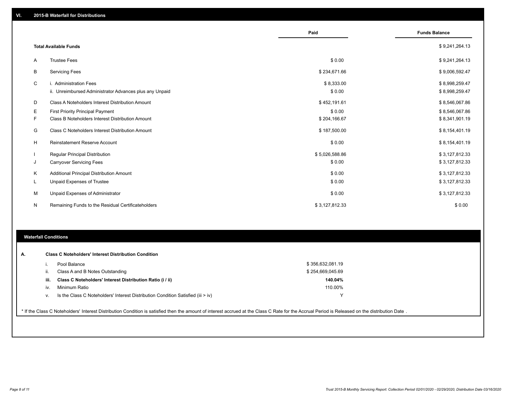|           |                                                         | Paid           | <b>Funds Balance</b> |
|-----------|---------------------------------------------------------|----------------|----------------------|
|           |                                                         |                |                      |
|           | <b>Total Available Funds</b>                            |                | \$9,241,264.13       |
| A         | <b>Trustee Fees</b>                                     | \$0.00         | \$9,241,264.13       |
| В         | <b>Servicing Fees</b>                                   | \$234,671.66   | \$9,006,592.47       |
| C         | i. Administration Fees                                  | \$8,333.00     | \$8,998,259.47       |
|           | ii. Unreimbursed Administrator Advances plus any Unpaid | \$0.00         | \$8,998,259.47       |
| D         | Class A Noteholders Interest Distribution Amount        | \$452,191.61   | \$8,546,067.86       |
| Е         | First Priority Principal Payment                        | \$0.00         | \$8,546,067.86       |
| F         | Class B Noteholders Interest Distribution Amount        | \$204,166.67   | \$8,341,901.19       |
| G         | Class C Noteholders Interest Distribution Amount        | \$187,500.00   | \$8,154,401.19       |
| H         | <b>Reinstatement Reserve Account</b>                    | \$0.00         | \$8,154,401.19       |
|           | Regular Principal Distribution                          | \$5,026,588.86 | \$3,127,812.33       |
| J         | <b>Carryover Servicing Fees</b>                         | \$0.00         | \$3,127,812.33       |
| Κ         | Additional Principal Distribution Amount                | \$0.00         | \$3,127,812.33       |
| L         | Unpaid Expenses of Trustee                              | \$0.00         | \$3,127,812.33       |
| М         | Unpaid Expenses of Administrator                        | \$0.00         | \$3,127,812.33       |
| ${\sf N}$ | Remaining Funds to the Residual Certificateholders      | \$3,127,812.33 | \$0.00               |

### **Waterfall Conditions**

|      | Pool Balance                                                                       | \$356,632,081.19 |  |
|------|------------------------------------------------------------------------------------|------------------|--|
|      | Class A and B Notes Outstanding                                                    | \$254,669,045.69 |  |
| iii. | Class C Noteholders' Interest Distribution Ratio (i / ii)                          | 140.04%          |  |
| iv.  | Minimum Ratio                                                                      | 110.00%          |  |
| v.   | Is the Class C Noteholders' Interest Distribution Condition Satisfied (iii $>$ iv) | $\checkmark$     |  |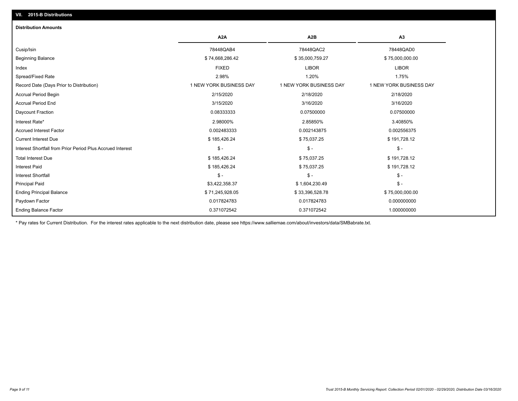| <b>Distribution Amounts</b>                                |                         |                         |                         |
|------------------------------------------------------------|-------------------------|-------------------------|-------------------------|
|                                                            | A <sub>2</sub> A        | A <sub>2</sub> B        | A3                      |
| Cusip/Isin                                                 | 78448QAB4               | 78448QAC2               | 78448QAD0               |
| <b>Beginning Balance</b>                                   | \$74,668,286.42         | \$35,000,759.27         | \$75,000,000.00         |
| Index                                                      | <b>FIXED</b>            | <b>LIBOR</b>            | <b>LIBOR</b>            |
| Spread/Fixed Rate                                          | 2.98%                   | 1.20%                   | 1.75%                   |
| Record Date (Days Prior to Distribution)                   | 1 NEW YORK BUSINESS DAY | 1 NEW YORK BUSINESS DAY | 1 NEW YORK BUSINESS DAY |
| <b>Accrual Period Begin</b>                                | 2/15/2020               | 2/18/2020               | 2/18/2020               |
| <b>Accrual Period End</b>                                  | 3/15/2020               | 3/16/2020               | 3/16/2020               |
| Daycount Fraction                                          | 0.08333333              | 0.07500000              | 0.07500000              |
| Interest Rate*                                             | 2.98000%                | 2.85850%                | 3.40850%                |
| <b>Accrued Interest Factor</b>                             | 0.002483333             | 0.002143875             | 0.002556375             |
| <b>Current Interest Due</b>                                | \$185,426.24            | \$75,037.25             | \$191,728.12            |
| Interest Shortfall from Prior Period Plus Accrued Interest | $\mathsf{\$}$ -         | $\mathsf{\$}$ -         | $$ -$                   |
| <b>Total Interest Due</b>                                  | \$185,426.24            | \$75,037.25             | \$191,728.12            |
| <b>Interest Paid</b>                                       | \$185,426.24            | \$75,037.25             | \$191,728.12            |
| <b>Interest Shortfall</b>                                  | $\mathsf{\$}$ -         | $\mathsf{\$}$ -         | $$ -$                   |
| <b>Principal Paid</b>                                      | \$3,422,358.37          | \$1,604,230.49          | $$ -$                   |
| <b>Ending Principal Balance</b>                            | \$71,245,928.05         | \$33,396,528.78         | \$75,000,000.00         |
| Paydown Factor                                             | 0.017824783             | 0.017824783             | 0.000000000             |
| <b>Ending Balance Factor</b>                               | 0.371072542             | 0.371072542             | 1.000000000             |

\* Pay rates for Current Distribution. For the interest rates applicable to the next distribution date, please see https://www.salliemae.com/about/investors/data/SMBabrate.txt.

**VII. 2015-B Distributions**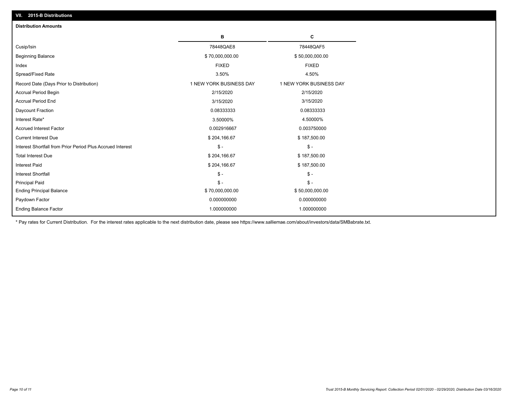| <b>Distribution Amounts</b>                                |                         |                         |
|------------------------------------------------------------|-------------------------|-------------------------|
|                                                            | в                       | C                       |
| Cusip/Isin                                                 | 78448QAE8               | 78448QAF5               |
| <b>Beginning Balance</b>                                   | \$70,000,000.00         | \$50,000,000.00         |
| Index                                                      | <b>FIXED</b>            | <b>FIXED</b>            |
| Spread/Fixed Rate                                          | 3.50%                   | 4.50%                   |
| Record Date (Days Prior to Distribution)                   | 1 NEW YORK BUSINESS DAY | 1 NEW YORK BUSINESS DAY |
| <b>Accrual Period Begin</b>                                | 2/15/2020               | 2/15/2020               |
| <b>Accrual Period End</b>                                  | 3/15/2020               | 3/15/2020               |
| Daycount Fraction                                          | 0.08333333              | 0.08333333              |
| Interest Rate*                                             | 3.50000%                | 4.50000%                |
| <b>Accrued Interest Factor</b>                             | 0.002916667             | 0.003750000             |
| <b>Current Interest Due</b>                                | \$204,166.67            | \$187,500.00            |
| Interest Shortfall from Prior Period Plus Accrued Interest | $\mathsf{\$}$ -         | $\mathsf{\$}$ -         |
| <b>Total Interest Due</b>                                  | \$204,166.67            | \$187,500.00            |
| <b>Interest Paid</b>                                       | \$204,166.67            | \$187,500.00            |
| <b>Interest Shortfall</b>                                  | $\mathsf{\$}$ -         | $\mathsf{\$}$ -         |
| <b>Principal Paid</b>                                      | $\mathsf{\$}$ -         | $\mathsf{\$}$ -         |
| <b>Ending Principal Balance</b>                            | \$70,000,000.00         | \$50,000,000.00         |
| Paydown Factor                                             | 0.000000000             | 0.000000000             |
| <b>Ending Balance Factor</b>                               | 1.000000000             | 1.000000000             |

\* Pay rates for Current Distribution. For the interest rates applicable to the next distribution date, please see https://www.salliemae.com/about/investors/data/SMBabrate.txt.

**VII. 2015-B Distributions**